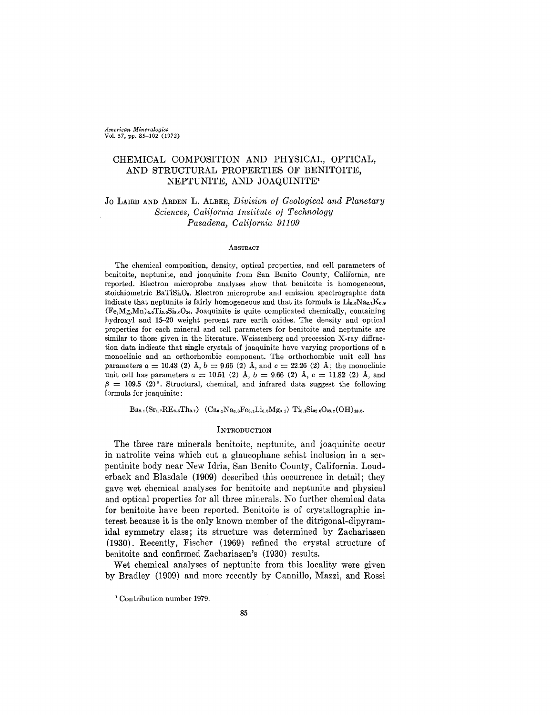*American Mineralogist* Vol. 57, pp. 85-102 (1972)

# CHEMICAL COMPOSITION AND PHYSICAL, OPTICAL, AND STRUCTURAL PROPERTIES OF BENITOITE, NEPTUNITE, AND JOAQUINITEl

## Jo LAIRDANDARDENL. ALBEE,*Division of Geological and Planetary Sciences, California Institute of Technology Pasadena, California 91109*

### **ABSTRACT**

The chemical composition, density, optical properties, and cell parameters of benitoite, neptunite, and joaquinite from San Benito County, California, are reported. Electron microprobe analyses show that benitoite is homogeneous, stoichiometric BaTiSi.O.. Electron microprobe and emission spectrographic data indicate that neptunite is fairly homogeneous and that its formula is  $Li_{0.6}Na_{2.1}K_{0.9}$  $(F_{e, Mg, Mn})_{2.0}$ Ti<sub>2.0</sub>Si<sub>8.0</sub>O<sub>24</sub>. Joaquinite is quite complicated chemically, containing hydroxyl and 15-20 weight percent rare earth oxides. The density and optical properties for each mineral and cell parameters for benitoite and neptunite are similar to those given in the literature. Weissenberg and precession X-ray diffraction data indicate that single crystals of joaquinite have varying proportions of a monoclinic and an orthorhombic component. The orthorhombic unit cell has parameters  $a = 10.48$  (2)  $\AA$ ,  $b = 9.66$  (2)  $\AA$ , and  $c = 22.26$  (2)  $\AA$ ; the monoclinic unit cell has parameters  $a = 10.51$  (2)  $\AA$ ,  $b = 9.66$  (2)  $\AA$ ,  $c = 11.82$  (2)  $\AA$ , and  $\beta = 109.5$  (2)°. Structural, chemical, and infrared data suggest the following formula for joaquinite:

 $Ba_{8.1}(Sr_{1.7}RE_{6.5}Th_{0.1})$   $(Ca_{0.2}Na_{8.3}Fe_{3.1}Li_{0.8}Mg_{0.1})$   $Ti_{8.1}Si_{32.0}O_{98.7}(OH)_{18.8}$ .

## **INTRODUCTION**

The three rare minerals benitoite, neptunite, and joaquinite occur in natrolite veins which cut a glaucophane schist inclusion in a serpentinite body near New Idria, San Benito County, California. Louderback and Blasdale (1909) described this occurrence in detail; they gave wet chemical analyses for benitoite and neptunite and physical and optical properties for all three minerals. No further chemical data for benitoite have been reported. Benitoite is of crystallographic interest because it is the only known member of the ditrigonal-dipyramidal symmetry class; its structure was determined by Zachariasen (1930). Recently, Fischer (1969) refined the crystal structure of benitoite and confirmed Zachariasen's (1930) results.

Wet chemical analyses of neptunite from this locality were given by Bradley (1909) and more recently by Cannillo, Mazzi, and Rossi

<sup>&</sup>lt;sup>1</sup> Contribution number 1979.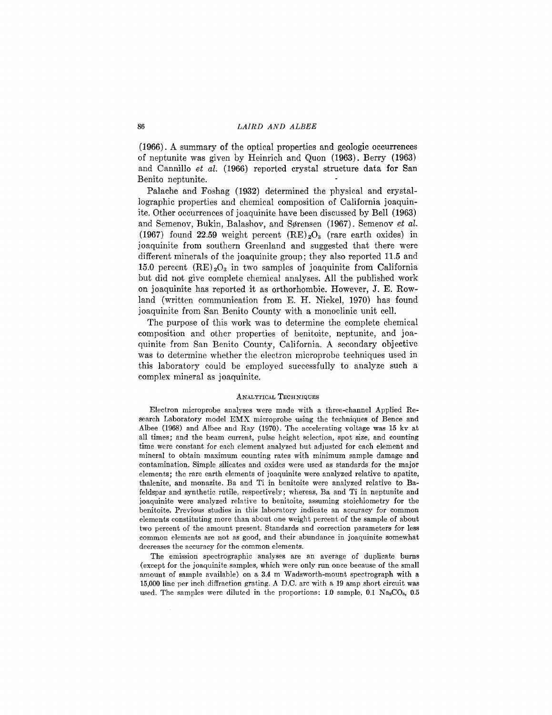(1966). A summary of the optical properties and geologic occurrences of neptunite was given by Heinrich and Quon (1963). Berry (1963) and Cannillo *et al.* (1966) reported crystal structure data for San Benito neptunite.

Palache and Foshag (1932) determined the physical and crystallographic properties and chemical composition of California joaquinite. Other occurrences of joaquinite have been discussed by Bell (1963) and Semenov, Bukin, Balashov, and Sørensen (1967). Semenov *et al.* (1967) found 22.59 weight percent  $(RE)_2O_3$  (rare earth oxides) in joaquinite from southern Greenland and suggested that there were different minerals of the joaquinite group; they also reported 11.5 and 15.0 percent  $(RE)_2O_3$  in two samples of joaquinite from California but did not give complete chemical analyses. All the published work on joaquinite has reported it as orthorhombic. However, J. E. Rowland (written communication from E. H. Nickel, 1970) has found joaquinite from San Benito County with a monoclinic unit cell.

The purpose of this work was to determine the complete chemical composition and other properties of benitoite, neptunite, and joaquinite from San Benito County, California. A secondary objective was to determine whether the electron microprobe techniques used in this laboratory could be employed successfully to analyze such a complex mineral as joaquinite.

#### ANALYTICAL TECHNIQUES

Electron microprobe analyses were made with a three-channel Applied Research Laboratory model EMX microprobe using the techniques of Bence and Albee (1968) and Albee and Ray (1970). The accelerating voltage was 15 kv at all times; and the beam current, pulse height selection, spot size, and counting time were constant for each element analyzed but adjusted for each element and mineral to obtain maximum counting rates with minimum sample damage and contamination. Simple silicates and oxides were used as standards for the major elements; the rare earth elements of joaquinite were analyzed relative to apatite, thalenite, and monazite. Ba and Ti in benitoite were analyzed relative to Bafeldspar and synthetic rutile, respectively; whereas, Ba and Ti in neptunite and joaquinite were analyzed relative to benitoite, assuming stoichiometry for the benitoite. Previous studies in this laboratory indicate an accuracy for common elements constituting more than about one weight percent of the sample of about two percent of the amount present. Standards and correction parameters for less common elements are not as good, and their abundance in joaquinite somewhat decreases the accuracy for the common elements.

The emission spectrographic analyses are an average of duplicate burns (except for the joaquinite samples, which were only run once because of the small amount of sample available) on a 3.4 m Wadsworth-mount spectrograph with a 15,000 line per inch diffraction grating. A D.C. arc with a 19 amp short circuit was used. The samples were diluted in the proportions: 1.0 sample, 0.1  $\text{Na}_2\text{CO}_3$ , 0.5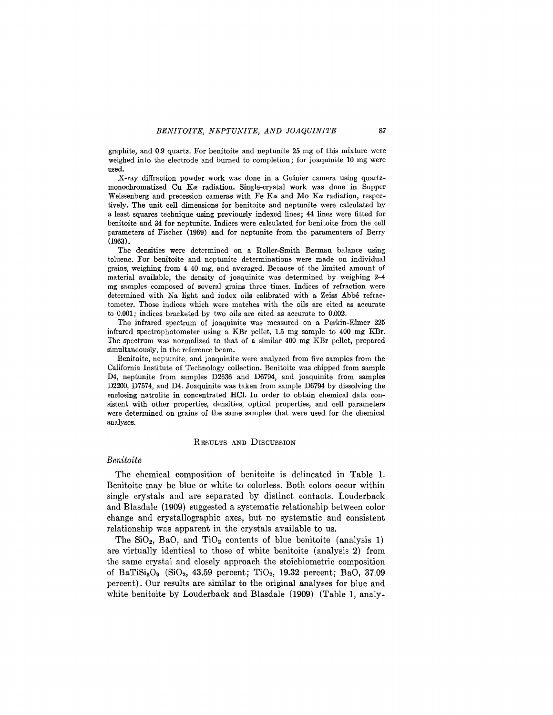graphite, and 0.9 quartz. For benitoite and neptunite 25 mg of this mixture were weighed into the electrode and burned to completion; for joaquinite 10 mg were used.

X-ray diffraction powder work was done in a Guinier camera using quartzmonochromatized Cu *Ka* radiation. Single-crystal work was done in Supper Weissenberg and precession cameras with Fe  $K_{\alpha}$  and Mo  $K_{\alpha}$  radiation, respectively. The unit cell dimensions for benitoite and neptunite were calculated by a least squares technique using previously indexed lines; 44 lines were fitted for benitoite and 34 for neptunite. Indices were calculated for benitoite from the cell parameters of Fischer (1969) and for neptunite from the paramenters of Berry (1963) .

The densities were determined on a Roller-Smith Berman balance using toluene. For benitoite and neptunite determinations were made on individual grains, weighing from 4-40 mg, and averaged. Because of the limited amount of material available, the density of joaquinite was determined by weighing  $2-4$ mg samples composed of several grains three times. Indices of refraction were determined with Na light and index oils calibrated with a Zeiss Abbe refractometer. Those indices which were matches with the oils are cited as accurate to 0.001; indices bracketed by two oils are cited as accurate to 0.002.

The infrared spectrum of joaquinite was measured on a Perkin-Elmer 225 infrared spectrophotometer using a KBr pellet, 1.5 mg sample to 400 mg KBr. The spectrum was normalized to that of a similar 400 mg KBr pellet, prepared simultaneously, in the reference beam.

Benitoite, neptunite, and joaquinite were analyzed from five samples from the California Institute of Technology collection. Benitoite was chipped from sample D4, neptunite from samples D2636 and D6794, and joaquinite from samples D2200, D7574, and D4. Joaquinite was taken from sample D6794 by dissolving the enclosing natrolite in concentrated HCI. In order to obtain chemical data consistent with other properties, densities, optical properties, and cell parameters were determined on grains of the same samples that were used for the chemical analyses.

## RESULTS AND DISCUSSION

#### *Benitoite*

The chemical composition of benitoite is delineated in Table 1. Benitoite may be blue or white to colorless. Both colors occur within single crystals and are separated by distinct contacts. Louderback and Blasdale (1909) suggested a systematic relationship between color change and crystallographic axes, but no systematic and consistent relationship was apparent in the crystals available to us.

The  $SiO<sub>2</sub>$ , BaO, and TiO<sub>2</sub> contents of blue benitoite (analysis 1) are virtually identical to those of white benitoite (analysis 2) from the same crystal and closely approach the stoichiometric composition of BaTiSi<sub>3</sub>O<sub>9</sub> (SiO<sub>2</sub>, 43.59 percent; TiO<sub>2</sub>, 19.32 percent; BaO, 37.09 percent). Our results are similar to the original analyses for blue and white benitoite by Louderback and Blasdale (1909) (Table 1, analy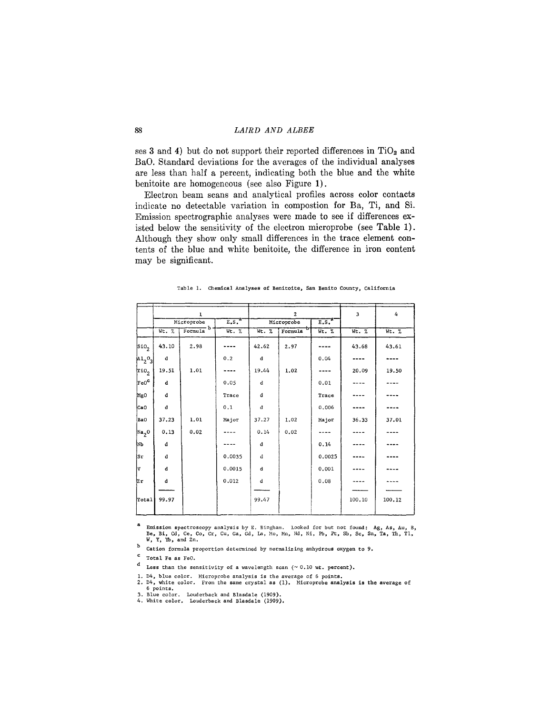ses 3 and 4) but do not support their reported differences in  $TiO<sub>2</sub>$  and BaO. Standard deviations for the averages of the individual analyses are less than half a percent, indicating both the blue and the white benitoite are homogeneous (see also Figure 1).

Electron beam scans and analytical profiles across color contacts indicate no detectable variation in compostion for Ba, Ti, and Si. Emission spectrographic analyses were made to see if differences existed below the sensitivity of the electron microprobe (see Table 1). Although they show only small differences in the trace element contents of the blue and white benitoite, the difference in iron content may be significant.

|  |  |  |  |  |  |  |  | Table 1. Chemical Analyses of Benitoite, San Benito County, California |  |
|--|--|--|--|--|--|--|--|------------------------------------------------------------------------|--|
|--|--|--|--|--|--|--|--|------------------------------------------------------------------------|--|

|                          |             | $\mathbf{1}$  |                   |       | $\overline{c}$       | 3        | 4      |        |
|--------------------------|-------------|---------------|-------------------|-------|----------------------|----------|--------|--------|
|                          |             | Microprobe    | E.S. <sup>a</sup> |       | Microprobe           | $E.S.^a$ |        |        |
|                          | $Wt.$ %     | Formula $b$ . | Wt. %             | Wt. % | Formula <sup>D</sup> | Wt. %    | Wt. %  | Wt. %  |
| $\vert$ sio <sub>2</sub> | 43.10       | 2.98          |                   | 42.62 | 2.97                 |          | 43.68  | 43.61  |
| $A_1^0C_3$               | $\mathbf d$ |               | 0.2               | d     |                      | 0.04     |        |        |
| $\overline{{\rm Ti0}_2}$ | 19.51       | 1.01          |                   | 19.44 | 1.02                 |          | 20.09  | 19.50  |
| $ {\rm FeO}^{\tt C} $    | đ           |               | 0.05              | d     |                      | 0.01     |        |        |
| MgO                      | d           |               | Trace             | d     |                      | Trace    |        |        |
| CaO                      | d           |               | 0.1               | d     |                      | 0.006    |        |        |
| BaO                      | 37.23       | 1.01          | Major             | 37.27 | 1.02                 | Major    | 36.33  | 37.01  |
| Na <sub>2</sub> O        | 0.13        | 0.02          |                   | 0.14  | 0.02                 |          |        |        |
| lмъ                      | d           |               |                   | d     |                      | 0.14     |        |        |
| Sr                       | d           |               | 0.0035            | d     |                      | 0.0025   |        |        |
| V                        | d           |               | 0.0015            | d     |                      | 0.001    |        |        |
| 'Zr                      | d           |               | 0.012             | d     |                      | 0.08     |        |        |
|                          |             |               |                   |       |                      |          |        |        |
| Total                    | 99.97       |               |                   | 99.47 |                      |          | 100.10 | 100.12 |
|                          |             |               |                   |       |                      |          |        |        |

a Emission spectroscopy analysis by E. Bingham. Looked for but not found: Ag, As, Au, B,<br>Be, Bi, Cd, Ce, Co, Cr, Cu, Ga, Gd, La, Mo, Mn, Nd, Ni, Pb, Pt, Sb, Sc, Sn, Ta, Th, Tl,<br>W, Y. Yb, and Zn.

b Cation formula proportion determined by normalizing anhydrous oxygen to 9.

C Total Fe as FeO.

d Less than the sensitivity of a wavelength scan  $( \sim 0.10 \text{ wt.} \text{ percent}).$ 

1. D4, blue color. Microprobe analysis is the average of 6 point**s.**<br>2. D4, white color. From the same crystal as (1). Microprobe analy**sis is the aver**age o: 6 points.

3. Blue color. Louderback and Blasdale (1909)<br>4. White color. Louderback and Blasdale (1909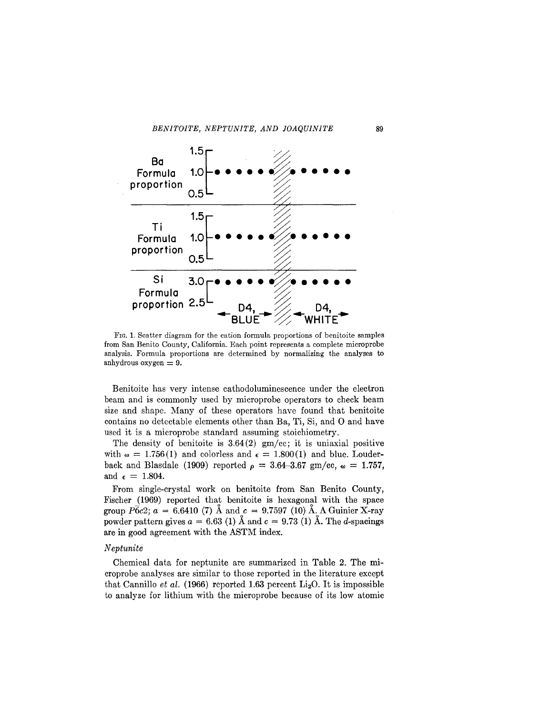

FIG. 1. Scatter diagram for the cation formula proportions of benitoite samples from San Benito County, California. Each point represents a complete microprobe analysis. Formula proportions are determined by normalizing the analyses to anhydrous oxygen  $= 9$ .

Benitoite has very intense cathodoluminescence under the electron beam and is commonly used by microprobe operators to check beam size and shape. Many of these operators have found that benitoite contains no detectable elements other than Ba, Ti, Si, and O and have used it is a microprobe standard assuming stoichiometry.

The density of benitoite is  $3.64(2)$  gm/cc; it is uniaxial positive with  $\omega = 1.756(1)$  and colorless and  $\epsilon = 1.800(1)$  and blue. Louder back and Blasdale (1909) reported  $\rho = 3.64 - 3.67$  gm/cc,  $\omega = 1.757$ , and  $\epsilon = 1.804$ .

From single-crystal work on benitoite from San Benito County, Fischer (1969) reported that benitoite is hexagonal with the space group  $P\bar{6}c2$ ;  $a = 6.6410$  (7) Å and  $c = 9.7597$  (10) Å. A Guinier X-ray powder pattern gives  $a = 6.63$  (1)  $\AA$  and  $c = 9.73$  (1)  $\AA$ . The *d*-spacings are in good agreement with the ASTM index.

### *Neptunite*

Chemical data for neptunite are summarized in Table 2. The microprobe analyses are similar to those reported in the literature except that Cannillo *et al.* (1966) reported 1.63 percent  $\text{Li}_2\text{O}$ . It is impossible to analyze for lithium with the microprobe because of its low atomic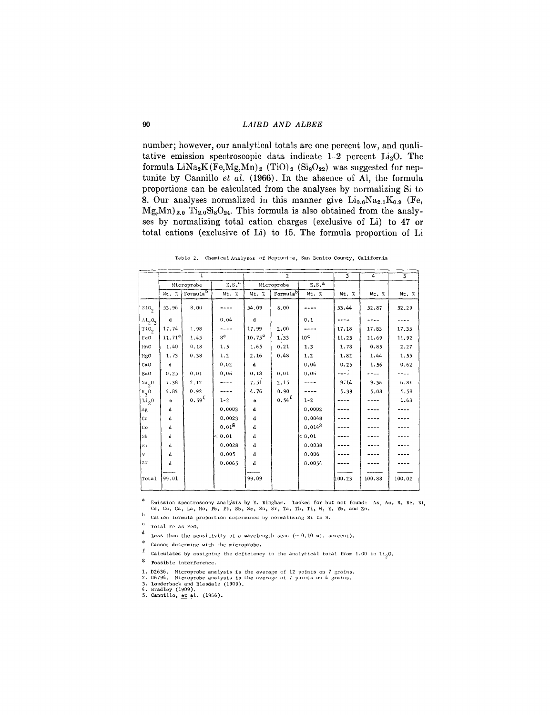number; however, our analytical totals are one percent low, and qualitative emission spectroscopic data indicate 1-2 percent Li<sub>2</sub>O. The formula  $LiNa<sub>2</sub>K(Fe, Mg, Mn)<sub>2</sub>$  (TiO)<sub>2</sub> (Si<sub>8</sub>O<sub>22</sub>) was suggested for neptunite by Cannillo et al. (1966). In the absence of Al, the formula proportions can be calculated from the analyses by normalizing Si to 8. Our analyses normalized in this manner give  $Li_{0.6}Na_{2.1}K_{0.9}$  (Fe,  $Mg_{,}Mn_{,2.0}$  Ti<sub>2.0</sub>Si<sub>8</sub>O<sub>24</sub>. This formula is also obtained from the analyses by normalizing total cation charges (exclusive of Li) to 47 or total cations (exclusive of Li) to 15. The formula proportion of Li

|                     |             |                      |                   |                 | $\overline{2}$       |                   | $\overline{3}$ | $\overline{4}$ | 5        |
|---------------------|-------------|----------------------|-------------------|-----------------|----------------------|-------------------|----------------|----------------|----------|
|                     |             | Microprobe           | E.S. <sup>a</sup> |                 | Microprobe           | E.S. <sup>a</sup> |                |                |          |
|                     | Wt. %       | Formula <sup>b</sup> | Wt. %             | Wt. %           | Formula <sup>b</sup> | Wt. %             | Wt. %          | Wt. %          | $Wt$ . % |
| $\mathfrak{so}_2$   | 53.96       | 8.00                 |                   | 54.09           | 8.00                 |                   | 53.44          | 52.87          | 52.29    |
| $\Lambda1_{2}0_{2}$ | $\mathbf d$ |                      | 0.04              | d               |                      | 0.1               |                |                |          |
| TiO <sub>2</sub>    | 17.74       | 1.98                 |                   | 17.99           | 2,00                 |                   | 17.18          | 17.83          | 17.35    |
| $_{\rm FeO}$        | $11.71^c$   | 1.45                 | 8 <sup>c</sup>    | $10.75^{\circ}$ | 1.33                 | 10 <sup>c</sup>   | 11.23          | 11.69          | 11.92    |
| MnO                 | 1.40        | 0.18                 | 1.5               | 1.65            | 0.21                 | 1.3               | 1.78           | 0.85           | 2.27     |
| MgO                 | 1.73        | 0.38                 | 1.2               | 2.16            | 0.48                 | 1.2               | 1.82           | 1.44           | 1.55     |
| CaO                 | d           |                      | 0.02              | đ               |                      | 0.04              | 0.25           | 1.56           | 0.62     |
| BaO                 | 0.25        | 0.01                 | 0,06              | 0.18            | 0.01                 | 0.06              |                |                |          |
| Na <sub>2</sub> O   | 7.38        | 2.12                 |                   | 7.51            | 2.15                 |                   | 9.14           | 9.56           | 6.81     |
| $k_2$ <sup>0</sup>  | 4.84        | 0.92                 |                   | 4.76            | 0.90                 |                   | 5.39           | 5.08           | 5.58     |
| Li <sub>2</sub> 0   | e           | $0.59^{f}$           | $1 - 2$           | e               | $0.54^{f}$           | $1 - 2$           |                |                | 1.63     |
| Λg                  | d           |                      | 0.0003            | ${\bf d}$       |                      | 0,0002            |                |                |          |
| cr                  | d           |                      | 0.0023            | đ               |                      | 0.0048            |                |                |          |
| Co                  | d           |                      | $0.01^{8}$        | $\bf d$         |                      | $0.014^8$         |                |                |          |
| Nb                  | d           |                      | $ <$ 0.01         | ${\bf d}$       |                      | $\approx$ 0.01    |                |                |          |
| Νi                  | đ           |                      | 0.0028            | d               |                      | 0.0038            |                |                |          |
| V                   | d           |                      | 0.005             | d               |                      | 0.006             |                |                |          |
| Zr                  | d           |                      | 0.0065            | d               |                      | 0.0054            |                |                |          |
| Total               | 99.01       |                      |                   | 99.09           |                      |                   | 100.23         | 100.88         | 100.02   |

Table 2. Chemical Analyses of Neptunite, San Benito County, California

 $\bf a$ Emission spectroscopy analysis by E. Bingham. Looked for but not found: As, Au, B, Be, Bi, Cd, Cu, Ga, La, Mo, Pb, Pt, Sb, Sc, Sn, Sr, Ta, Th, Tl, W, Y, Yb, and Zn.

 $b$  Cation formula proportion determined by normalizing Si to 8.

 $c$  Total Fe as FeO.

d Less than the sensitivity of a wavelength scan  $(\sim 0.10$  wt. percent).

e Cannot determine with the microprobe.

f Calculated by assigning the deficiency in the analytical total from 1.00 to  $\text{Li}_2\text{O}$ .

 $8$  Possible interference.

1. D2636. Microprobe analysis is the average of 12 points on 7 grains.<br>2. D6794. Microprobe analysis is the average of 7 points on 4 grains.

3. Louderback and Blasdale (1909).<br>4. Bradley (1909).<br>5. Cannillo, <u>et al</u>. (1966).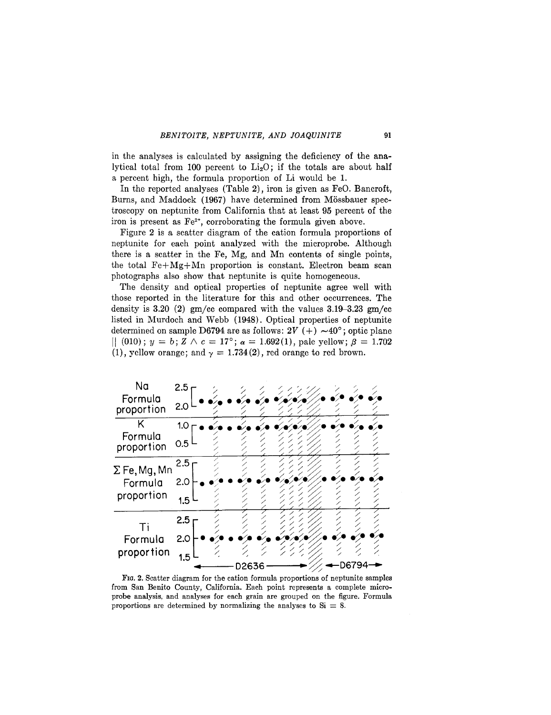in the analyses is calculated by assigning the deficiency of the analytical total from 100 percent to  $Li<sub>2</sub>O$ ; if the totals are about half a percent high, the formula proportion of Li would be 1.

In the reported analyses (Table 2), iron is given as FeO. Bancroft, Burns, and Maddock (1967) have determined from Mössbauer spectroscopy on neptunite from California that at least 95 percent of the iron is present as  $Fe^{2+}$ , corroborating the formula given above.

Figure 2 is a scatter diagram of the cation formula proportions of neptunite for each point analyzed with the microprobe. Although there is a scatter in the Fe, Mg, and Mn contents of single points, the total Fe+Mg+Mn proportion is constant. Electron beam scan photographs also show that neptunite is quite homogeneous.

The density and optical properties of neptunite agree well with those reported in the literature for this and other occurrences. The density is 3.20 (2) gm/cc compared with the values 3.19-3.23 *gmjcc* listed in Murdoch and Webb (1948). Optical properties of neptunite determined on sample D6794 are as follows:  $2V (+) \sim 40^{\circ}$ ; optic plane  $[| (010); y = b; Z \wedge c = 17^{\circ}; \alpha = 1.692(1),$  pale yellow;  $\beta = 1.702$ (1), yellow orange; and  $\gamma = 1.734(2)$ , red orange to red brown.



FIG. 2. Scatter diagram for the cation formula proportions of neptunite samples from San Benito County, California. Each point represents a complete microprobe analysis, and analyses for each grain are grouped on the figure. Formula proportions are determined by normalizing the analyses to  $Si = 8$ .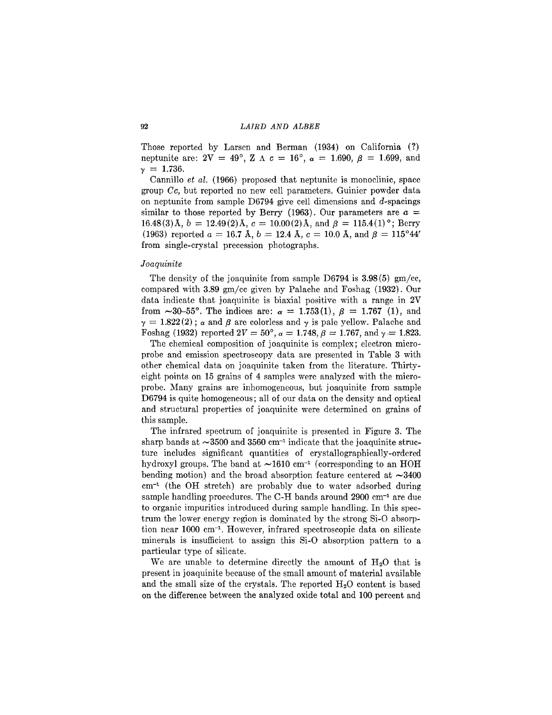Those reported by Larsen and Berman (1934) on California (?) neptunite are:  $2V = 49^{\circ}$ ,  $Z \Delta c = 16^{\circ}$ ,  $\alpha = 1.690$ ,  $\beta = 1.699$ , and  $\gamma = 1.736$ .

Cannillo *et al.* (1966) proposed that neptunite is monoclinic, space group *Ce,* but reported no new cell parameters. Guinier powder data on neptunite from sample D6794 give cell dimensions and  $d$ -spacings similar to those reported by Berry (1963). Our parameters are  $a =$ 16.48(3) Å,  $b = 12.49(2)$  Å,  $c = 10.00(2)$  Å, and  $\beta = 115.4(1)$ °; Berry (1963) reported  $a = 16.7$  Å,  $b = 12.4$  Å,  $c = 10.0$  Å, and  $\beta = 115^{\circ}44'$ from single-crystal precession photographs.

#### *J oaquinite*

The density of the joaquinite from sample D6794 is 3.98 (5) gm/cc, compared with 3.89 gm/cc given by Palache and Foshag (1932). Our data indicate that joaquinite is biaxial positive with a range in 2V from  $\sim$ 30–55°. The indices are:  $\alpha = 1.753(1), \beta = 1.767 (1),$  and  $\gamma = 1.822(2)$  ;  $\alpha$  and  $\beta$  are colorless and  $\gamma$  is pale yellow. Palache and Foshag (1932) reported  $2V = 50^{\circ}$ ,  $\alpha = 1.748$ ,  $\beta = 1.767$ , and  $\gamma = 1.823$ .

The chemical composition of joaquinite is complex; electron microprobe and emission spectroscopy data are presented in Table 3 with other chemical data on joaquinite taken from the literature. Thirtyeight points on 15 grains of 4 samples were analyzed with the microprobe. Many grains are inhomogeneous, but joaquinite from sample D6794 is quite homogeneous; all of our data on the density and optical and structural properties of joaquinite were determined on grains of this sample.

The infrared spectrum of joaquinite is presented in Figure 3. The sharp bands at  $\sim$ 3500 and 3560 cm<sup>-1</sup> indicate that the joaquinite structure includes significant quantities of crystallographic ally -ordered hydroxyl groups. The band at  $\sim 1610 \text{ cm}^{-1}$  (corresponding to an HOH bending motion) and the broad absorption feature centered at  $\sim$ 3400 cm-1 (the OH stretch) are probably due to water adsorbed during sample handling procedures. The C-H bands around 2900 cm-1 are due to organic impurities introduced during sample handling. In this spectrum the lower energy region is dominated by the strong Si-O absorption near 1000 cm-1. However, infrared spectroscopic data on silicate minerals is insufficient to assign this Si-O absorption pattern to a particular type of silicate.

We are unable to determine directly the amount of  $H_2O$  that is present in joaquinite because of the small amount of material available and the small size of the crystals. The reported  $H<sub>2</sub>O$  content is based on the difference between the analyzed oxide total and 100 percent and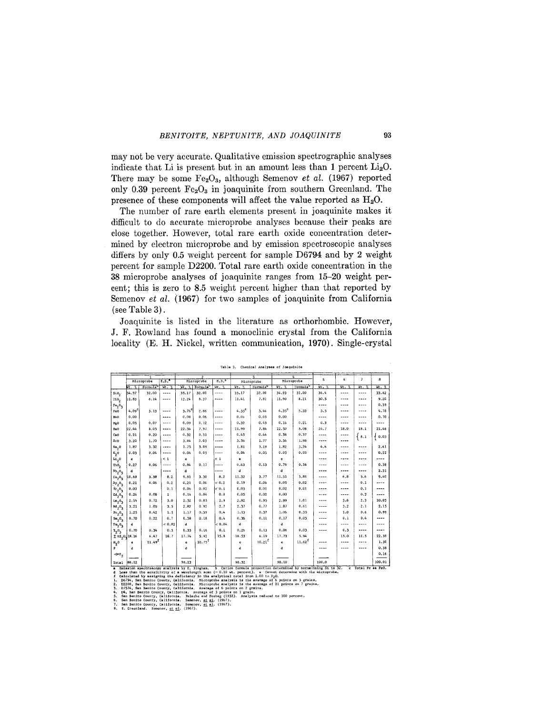may not be very accurate. Qualitative emission spectrographic analyses indicate that Li is present but in an amount less than 1 percent Li<sub>2</sub>O. There may be some  $Fe<sub>2</sub>O<sub>3</sub>$ , although Semenov *et al.* (1967) reported only 0.39 percent  $Fe<sub>2</sub>O<sub>3</sub>$  in joaquinite from southern Greenland. The presence of these components will affect the value reported as  $H_2O$ .

The number of rare earth elements present in joaquinite makes it difficult to do accurate microprobe analyses because their peaks are close together. However, total rare earth oxide concentration determined by electron microprobe and by emission spectroscopic analyses differs by only 0.5 weight percent for sample D6794 and by 2 weight percent for sample D2200. Total rare earth oxide concentration in the 38 microprobe analyses of joaquinite ranges from 15-20 weight percent; this is zero to 8.5 weight percent higher than that reported by Semenov et al. (1967) for two samples of joaquinite from California  $(see Table 3).$ 

Joaquinite is listed in the literature as orthorhombic. However, J. F. Rowland has found a monoclinic crystal from the California locality (E. H. Nickel, written communication, 1970). Single-crystal

|                                                                                       | $\overline{2}$    |                                                                        | $\overline{\mathbf{3}}$<br>$\overline{a}$ |                |                            |                      |                |                                                                                                    |                |                      |                                                                                                                                    |                 |                          |        |
|---------------------------------------------------------------------------------------|-------------------|------------------------------------------------------------------------|-------------------------------------------|----------------|----------------------------|----------------------|----------------|----------------------------------------------------------------------------------------------------|----------------|----------------------|------------------------------------------------------------------------------------------------------------------------------------|-----------------|--------------------------|--------|
|                                                                                       |                   | Microprobe                                                             | E.S. <sup>8</sup>                         |                | Microprobe                 | $E, S,$ <sup>a</sup> |                | Microprobe                                                                                         |                | Microprobe           | 5                                                                                                                                  | $6\phantom{.}6$ | $\overline{\phantom{a}}$ | 8      |
|                                                                                       | Wt. 7.            | Formula                                                                | $W_L$ , $Z$                               |                | Wt. 2 Formula <sup>b</sup> | Wc. 2                | Vt. 2          | Formulab                                                                                           | $Wt.$ %        | Formula <sup>b</sup> | $Wt = 2$                                                                                                                           | Wt. %           | Wt. %                    | Wt. Z  |
| SiO <sub>2</sub>                                                                      | 34.97             | 32.00                                                                  | ----                                      | 35.17          | 32,00                      | $- - - -$            | 35.17          | 32.00                                                                                              | 34.93          | 32.00                | 36.4                                                                                                                               | ----            | ----                     | 33.82  |
| T10 <sub>2</sub>                                                                      | 11.83             | 8.14                                                                   | $---$                                     | 12.24          | 8.37                       | ----                 | 11.41          | 7.81                                                                                               | 11.90          | 8.21                 | 30.5                                                                                                                               | ----            | ----                     | 9.20   |
| $Fe_2O_3$                                                                             |                   |                                                                        |                                           |                |                            |                      |                |                                                                                                    |                |                      | ----                                                                                                                               | $---$           |                          | 0.39   |
| Fe0                                                                                   | 4.09 <sup>c</sup> | 3.13                                                                   | $---$                                     | $3.76^{\circ}$ | 2.86                       | $- - - -$            | $4.55^{\circ}$ | 3.46                                                                                               | $4.35^{\circ}$ | 3.33                 | 3.5                                                                                                                                | ----            | ----                     | 4.78   |
| MnO                                                                                   | 0.00              |                                                                        | $\cdots$                                  | 0.08           | 0.06                       | ----                 | 0.06           | 0.05                                                                                               | 0,00           |                      | ----                                                                                                                               | ----            | ----                     | 0.70   |
| NgO                                                                                   | 0.05              | 0.07                                                                   | $\cdots$                                  | 0.09           | 0.12                       | ----                 | 0.32           | 0.43                                                                                               | 0.16           | 0.21                 | 0.3                                                                                                                                |                 | ----                     |        |
| BaO                                                                                   | 22.44             | 8.05                                                                   |                                           | 22.36          | 7.97                       | $\cdots$             | 21.99          | 7.84                                                                                               | 22.50          | 8.08                 | 24.7                                                                                                                               | 18.0            | 18.1                     | 21.46  |
| CeO                                                                                   | 0.21              | 0.20                                                                   | $\cdots$                                  | 0.32           | 0.31                       | $\sim$ $\sim$ $\sim$ | 0.45           | 0.44                                                                                               | 0.38           | 0.37                 | $---$                                                                                                                              | ----            | { 8.1                    | 0.03   |
| $S_{X}$ <sup>O</sup>                                                                  | 3.20              | 1.70                                                                   | 1.1.1                                     | 3.84           | 2.03                       | $\cdots$             | 3.36           | 1.77                                                                                               | 3.54           | 1,88                 | ----                                                                                                                               |                 |                          |        |
| Na <sub>2</sub>                                                                       | 1.87              | 3.32                                                                   | $\cdots$                                  | 1.75           | 3.09                       | $\cdots$             | 1.81           | 3.19                                                                                               | 1.82           | 3,24                 | 4.6                                                                                                                                | ----            | ----                     | 2.41   |
| $K_{2}$ O                                                                             | 0.03              | 0.04                                                                   | $\cdots$                                  | 0.04           | 0.05                       | $---$                | 0.04           | 0.05                                                                                               | 0.03           | 0.03                 |                                                                                                                                    | ----            | ----                     | 0, 22  |
| $L_{1,0}$                                                                             | $\bf e$           |                                                                        | $\leq 1$                                  | e              |                            | $\leq 1$             | e              |                                                                                                    | $\mathbf{c}$   |                      | ----                                                                                                                               | ----            | ----                     | ----   |
| ThO <sub>2</sub>                                                                      | 0.27              | 0.06                                                                   | ----                                      | 0.84           | 0.17                       | ----                 | 0.63           | 0.13                                                                                               | 0.76           | 0.16                 | ----                                                                                                                               | ----            | ----                     | 0.38   |
| Nb <sub>2</sub> O <sub>5</sub>                                                        | d                 |                                                                        | ----                                      | d              |                            | ----                 | d              |                                                                                                    | d.             |                      | ----                                                                                                                               | ----            | ----                     | 2.31   |
| $ce_2O_3$                                                                             | 10.69             | 3.58                                                                   | 8.2                                       | 9.91           | 3.30                       | 8.2                  | 11.32          | 3.77                                                                                               | 11.51          | 3,86                 | ----                                                                                                                               | 6.8             | 5.6                      | 9.40   |
| $n_y$ <sub>2</sub> <sup>0</sup> <sub>3</sub>                                          | 0.21              | 0.06                                                                   | 0.2                                       | 0.21           | 0.06                       | 0.2                  | 0.19           | 0.06                                                                                               | 0.05           | 0.02                 | ----                                                                                                                               | ----            | 0.1                      |        |
| $\mathbf{g_{r_2}o_3}$                                                                 | 0.00              |                                                                        | 0.1                                       | 0.06           | 0.02                       | 0.1                  | 0.03           | 0.01                                                                                               | 0.02           | 0.01                 | ----                                                                                                                               | ----            | 0.1                      | ----   |
| $Gd_2O_3$                                                                             | 0.26              | 0.08                                                                   | $\mathbf{1}$                              | 0.14           | 0.04                       | 0.8                  | 0.05           | 0.02                                                                                               | 0.00           |                      | ----                                                                                                                               | ----            | 0.3'                     | ----   |
| $La_2O_3$                                                                             | 2.14              | 0.72                                                                   | 3.0                                       | 2.52           | 0.85                       | 2.9                  | 2.82           | 0.95                                                                                               | 2.99           | 1.01                 | ----                                                                                                                               | 3.6             | 2.3                      | 10.05  |
| $nd_20_3$                                                                             | 3.21              | 1.05                                                                   | 3.5                                       | 2.82           | 0.92                       | 2.7                  | 2.37           | 0.77                                                                                               | 1.87           | 0.61                 |                                                                                                                                    | 3.2             | 2.1                      | 2.15   |
| $Pr_2O_3$                                                                             | 1.25              | 0.42                                                                   | 1.5                                       | 1.17           | 0.39                       | 0.4                  | 1.13           | 0.37                                                                                               | 1.06           | 0.35                 | ----                                                                                                                               | 1.0             | 0.6                      | 0.99   |
| $\begin{array}{l} \mathsf{Sm}_2\mathsf{O}_3 \\ \mathsf{Im}_2\mathsf{O}_3 \end{array}$ | 0.70              | 0.22                                                                   | 0.7                                       | 0.58           | 0.18                       | 0.4                  | 0.36           | 0.11                                                                                               | 0.17           | 0.05                 |                                                                                                                                    | 0.1             | 0.4                      | $---$  |
|                                                                                       | d                 |                                                                        | 0.02                                      | d              |                            | $\approx 0.04$       | $\mathbf{d}$   |                                                                                                    | $\mathbf{d}$   |                      |                                                                                                                                    | ----            | ----                     | ----   |
| $x_20_3$                                                                              | 0.70              | 0.34                                                                   | 0.5                                       | 0.33           | 0.16                       | 0.1                  | 0.26           | 0.13                                                                                               | 0.06           | 0.03                 | ----                                                                                                                               | 0.3             | ----                     | ----   |
| $\Sigma$ RE <sub>2</sub> 0 <sub>2</sub> 19.16                                         |                   | 6.47                                                                   | 18.7                                      | 17.74          | 5.92                       | 15.8                 | 18.53          | 6.19                                                                                               | 17.73          | 5.94                 |                                                                                                                                    | 15.0            | 11.5                     | 22.59  |
| $H_2$ 0                                                                               | ė                 | $11.49^{\text{f}}$                                                     |                                           | ė              | $10.75^{5}$                |                      | $\mathbf{e}$   | $10.21^{f}$                                                                                        | ė              | $11.62^{f}$          |                                                                                                                                    |                 | ----                     | 1.50   |
| Р.                                                                                    | d                 |                                                                        |                                           | d              |                            |                      | d              |                                                                                                    | d              |                      | ----                                                                                                                               | $- - - -$       |                          | 0.38   |
| $-0 - F_2$                                                                            |                   |                                                                        |                                           |                |                            |                      |                |                                                                                                    |                |                      |                                                                                                                                    |                 |                          | 0.16   |
| Total                                                                                 | 98.12             |                                                                        |                                           | 98.23          |                            |                      | 98.32          |                                                                                                    | 98.10          |                      | 100.0                                                                                                                              |                 |                          | 100.01 |
|                                                                                       |                   | a Emission spectroscopy analysis by E. Bingham.                        |                                           |                |                            |                      |                |                                                                                                    |                |                      | b Cation formula proportion determined by normalizing Si to 32.                                                                    |                 | c Total Fe as FeO.       |        |
| đ<br>f                                                                                |                   |                                                                        |                                           |                |                            |                      |                | Calculated by assigning the deficiency in the analytical total from 1.00 to H <sub>2</sub> 0.      |                |                      | Less than the sensitivity of a wavelength scan $(\sim 0.10 \text{ wt.} \text{ percent})$ . e Cannot determine with the microprobe. |                 |                          |        |
| 1.<br>2.                                                                              |                   |                                                                        |                                           |                |                            |                      |                | D6794, San Benito County, California. Microprobe analysis is the average of 6 points on 5 grains.  |                |                      |                                                                                                                                    |                 |                          |        |
| 3.                                                                                    |                   | D7574, San Benito County, California. Average of 6 points on 2 grains. |                                           |                |                            |                      |                | D2200, San Benito County, California. Microprobe analysis is the average of 21 points on 7 grains. |                |                      |                                                                                                                                    |                 |                          |        |
| 4.                                                                                    |                   | D4, San Benito County, California. Average of 5 points on 1 grain.     |                                           |                |                            |                      |                | San Benito County, California. Palache and Foshag (1932). Analysis reduced to 100 percent.         |                |                      |                                                                                                                                    |                 |                          |        |
| 5.<br>6.                                                                              |                   | San Benito County, California. Semenov, et al. (1967).                 |                                           |                |                            |                      |                |                                                                                                    |                |                      |                                                                                                                                    |                 |                          |        |
| 7.                                                                                    |                   | San Benito County, California. Semenov, et al. (1967).                 |                                           |                |                            |                      |                |                                                                                                    |                |                      |                                                                                                                                    |                 |                          |        |
| 8.                                                                                    |                   | S. Greenland. Semenov, et al. (1967).                                  |                                           |                |                            |                      |                |                                                                                                    |                |                      |                                                                                                                                    |                 |                          |        |
|                                                                                       |                   |                                                                        |                                           |                |                            |                      |                |                                                                                                    |                |                      |                                                                                                                                    |                 |                          |        |

Table 3. Chemical Analyses of Josquinite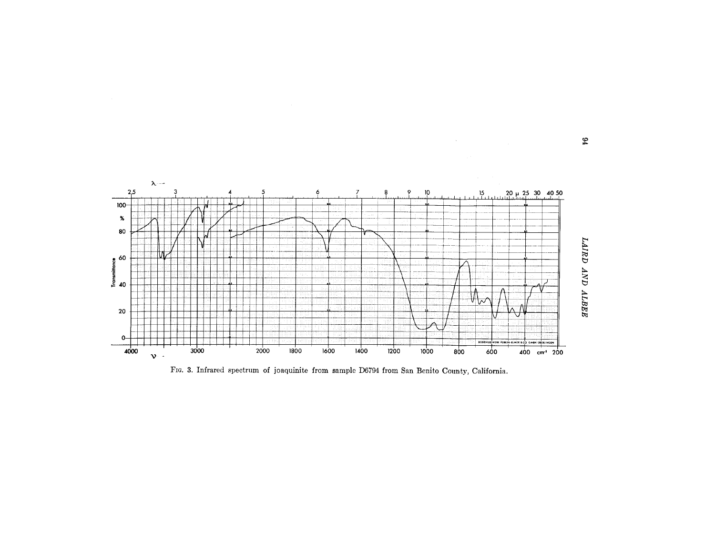

FIG. 3. Infrared spectrum of joaquinite from sample D6794 from San Benito County, California.

 $\mathfrak{g}_4$ 

 $\sim$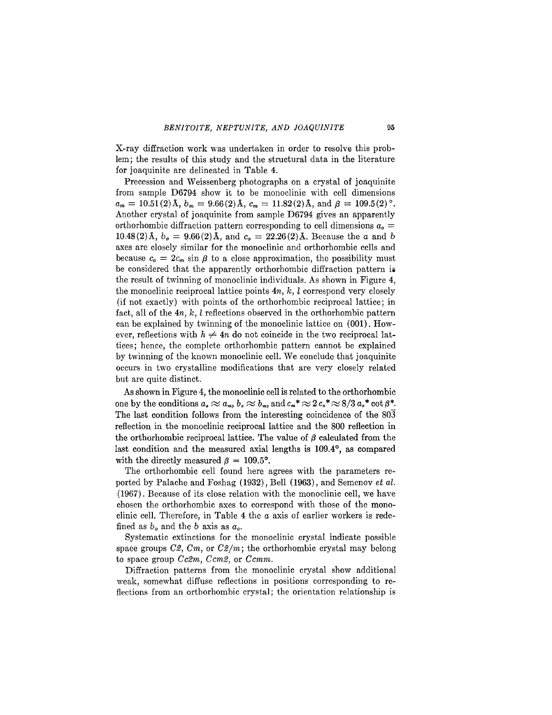X-ray diffraction work was undertaken in order to resolve this problem; the results of this study and the structural data in the literature for joaquinite are delineated in Table 4.

Precession and Weissenberg photographs on a crystal of joaquinite from sample D6794 show it to be monoclinic with cell dimensions  $a_m = 10.51(2)$  Å,  $b_m = 9.66(2)$  Å,  $c_m = 11.82(2)$  Å, and  $\beta = 109.5(2)$ °. Another crystal of joaquinite from sample D6794 gives an apparently orthorhombic diffraction pattern corresponding to cell dimensions  $a<sub>o</sub> =$ 10.48(2) Å,  $b_o = 9.66(2)$  Å, and  $c_o = 22.26(2)$  Å. Because the *a* and *b* axes are closely similar for the monoclinic and orthorhombic cells and because  $c_0 = 2c_m \sin \beta$  to a close approximation, the possibility must be considered that the apparently orthorhombic diffraction pattern is the result of twinning of monoclinic individuals. As shown in Figure 4, the monoclinic reciprocal lattice points *4n, k, l* correspond very closely (if not exactly) with points of the orthorhombic reciprocal lattice ; in fact, all of the *4n, k, l* reflections observed in the orthorhombic pattern can be explained by twinning of the monoclinic lattice on (001). However, reflections with  $h \neq 4n$  do not coincide in the two reciprocal lattices; hence, the complete orthorhombic pattern cannot be explained by twinning of the known monoclinic cell. We conclude that joaquinite occurs in two crystalline modifications that are very closely related but are quite distinct.

As shown in Figure 4, the monoclinic cell is related to the orthorhombic  $\alpha_0 \approx a_m, b_o \approx b_m, \text{ and } c_m^* \approx 2 c_s^* \approx 8/3 a_s^* \cot \beta^*.$ The last condition follows from the interesting coincidence of the 803 reflection in the monoclinic reciprocal lattice and the 800 reflection in the orthorhombic reciprocal lattice. The value of  $\beta$  calculated from the last condition and the measured axial lengths is 109.4°, as compared with the directly measured  $\beta = 109.5^{\circ}$ .

The orthorhombic cell found here agrees with the parameters reported by Palache and Foshag (1932), Bell (1963), and Semenov *et al.* (1967). Because of its close relation with the monoclinic cell, we have chosen the orthorhombic axes to correspond with those of the monoclinic cell. Therefore, in Table 4 the *a* axis of earlier workers is redefined as *bo* and the *b* axis as *ao.*

Systematic extinctions for the monoclinic crystal indicate possible space groups *C2, Cm,* or *C2/m;* the orthorhombic crystal may belong to space group *Cc2m, Ccm2,* or *Ccmm.*

Diffraction patterns from the monoclinic crystal show additional weak, somewhat diffuse reflections in positions corresponding to reflections from an orthorhombic crystal; the orientation relationship is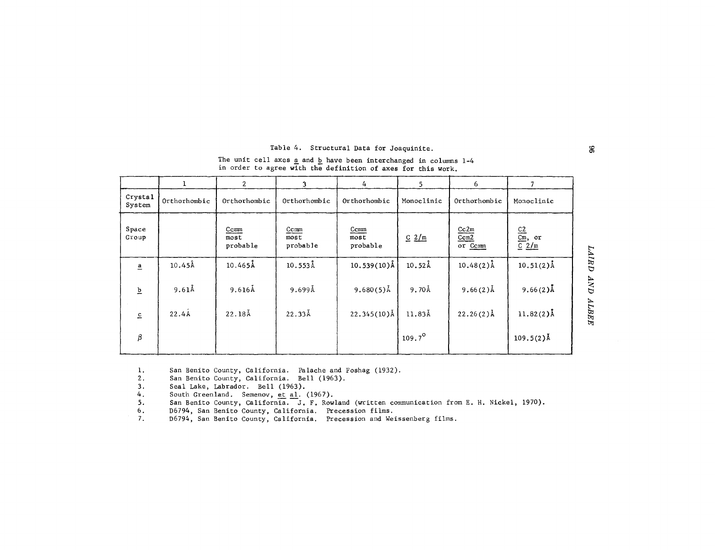### Table 4. Structural Data for Joaquinite.

The unit cell axes  $\underline{a}$  and  $\underline{b}$  have been interchanged in columns 1in order to agree with the definition of axes for this work.

|                                    |              | $\overline{2}$           | 3                        | 4                        | 5.              | 6                       |                               |             |
|------------------------------------|--------------|--------------------------|--------------------------|--------------------------|-----------------|-------------------------|-------------------------------|-------------|
| Crystal<br>System                  | Orthorhombic | Orthorhombic             | Orthorhombic             | Orthorhombic             | Monoclinic      | Orthorhombic            | Monoclinic                    |             |
| Space<br>Group                     |              | Ccmm<br>most<br>probable | Ccmm<br>most<br>probable | Ccmm<br>most<br>probable | $C$ 2/m         | Cc2m<br>Ccm2<br>or Comm | $rac{C2}{Cm}$ , or<br>$C$ 2/m |             |
| $\overline{a}$                     | $10.45$ Å    | $10.465$ Å               | $10.553$ Å               | $10.539(10)\text{\AA}$   | $10.52$ Å       | $10.48(2)$ Å            | $10.51(2)$ Å                  | $L="AD$     |
| $\overline{\mathtt{p}}$            | $9.61$ Å     | $9.616$ Å                | 9.699Å                   | $9.680(5)$ Å             | 9.70Å           | $9.66(2)$ Å             | 9.66 $(2)$ Å                  | $\sqrt{AN}$ |
| $\mathrel{\underline{\mathsf{c}}}$ | 22.4A        | $22.18{\AA}$             | 22.33Å                   | $22.345(10)\AA$          | 11.83Å          | $22.26(2)$ Å            | $11.82(2)$ Å                  | ALBEE       |
| $\beta$                            |              |                          |                          |                          | $109.7^{\circ}$ |                         | $109.5(2)$ Å                  |             |

1. San Benito County, California. Palache and Foshag (1932).<br>2. San Benito County. California. Bell (1963).

2. San Benito County, California. Bell (1963).<br>3. Seal Lake, Labrador. Bell (1963).

3. Seal Lake, Labrador. Bell (1963).<br>4. South Greenland. Semenov, et al.

4. South Greenland. Semenov, et al. (1967).<br>5. San Benito County, California. J. F. Row. 5. San Benito County, California. J. F. Rowland (written communication from E. H. Nickel, 1970).<br>6. D6794, San Benito County, California. Precession films.

6. D6794, San Benito County, California. Precession films.

D6794, San Benito County, California. Precession and Weissenberg films.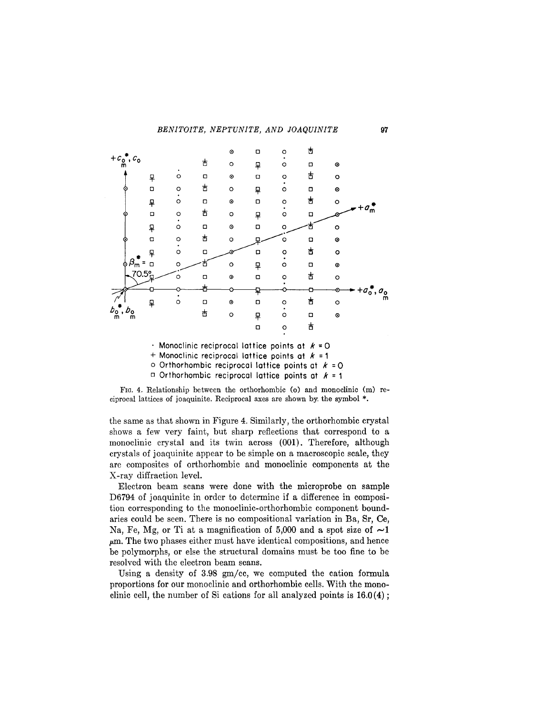

Monoclinic reciprocal lattice points at *k* =0

+ Monoclinic reciprocal lattice points at *k* =1

<sup>o</sup> Orthorhombic reciprocal lattice points at *<sup>k</sup>* =<sup>0</sup>

 $\Box$  Orthorhombic reciprocal lattice points at  $k = 1$ 

FIG. 4. Relationship between the orthorhombic (0) and monoclinic (m) reciprocal lattices of joaquinite. Reciprocal axes are shown by. the symbol \*.

the same as that shown in Figure 4. Similarly, the orthorhombic crystal shows a few very faint, but sharp reflections that correspond to a monoclinic crystal and its twin across (001). Therefore, although crystals of joaquinite appear to be simple on a macroscopic scale, they are composites of orthorhombic and monoclinic components at the X-ray diffraction level.

Electron beam scans were done with the microprobe on sample D6794 of joaquinite in order to determine if a difference in composition corresponding to the monoclinic-orthorhombic component boundaries could be seen. There is no compositional variation in Ba, Sr, Ce, Na, Fe, Mg, or Ti at a magnification of 5,000 and a spot size of  $\sim$ 1  $\mu$ m. The two phases either must have identical compositions, and hence be polymorphs, or else the structural domains must be too fine to be resolved with the electron beam scans.

Using a density of 3.98 gm/cc, we computed the cation formula proportions for our monoclinic and orthorhombic cells. With the monoclinic cell, the number of Si cations for all analyzed points is  $16.0(4)$ ;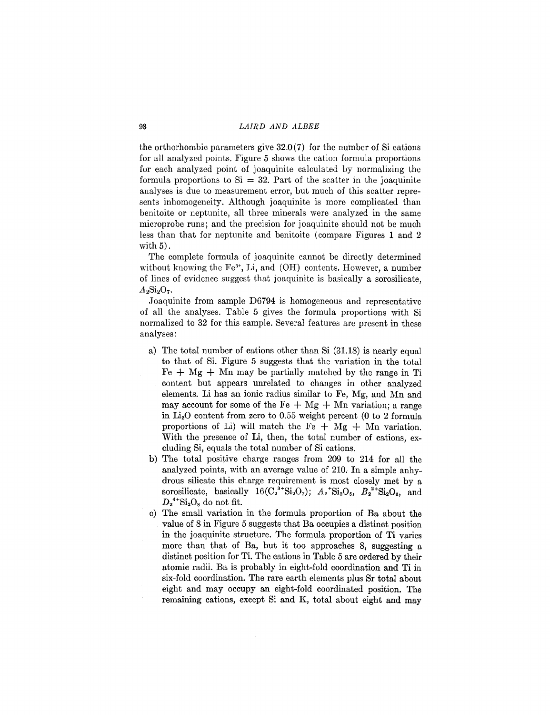the orthorhombic parameters give  $32.0(7)$  for the number of Si cations for all analyzed points. Figure 5 shows the cation formula proportions for each analyzed point of joaquinite calculated by normalizing the formula proportions to  $Si = 32$ . Part of the scatter in the joaquinite analyses is due to measurement error, but much of this scatter represents inhomogeneity. Although joaquinite is more complicated than benitoite or neptunite, all three minerals were analyzed in the same microprobe runs; and the precision for joaquinite should not be much less than that for neptunite and benitoite (compare Figures 1 and 2 with 5).

The complete formula of joaquinite cannot be directly determined without knowing the Fe<sup>3+</sup>, Li, and (OH) contents. However, a number of lines of evidence suggest that joaquinite is basically a sorosilicate,  $A_2Si_2O_7.$ 

Joaquinite from sample D6794 is homogeneous and representative of all the analyses. Table 5 gives the formula proportions with Si normalized to 32 for this sample. Several features are present in these analyses:

- a) The total number of cations other than Si  $(31.18)$  is nearly equal to that of Si. Figure 5 suggests that the variation in the total  $Fe + Mg + Mn$  may be partially matched by the range in Ti content but appears unrelated to changes in other analyzed elements. Li has an ionic radius similar to Fe, Mg, and Mn and may account for some of the Fe  $+$  Mg  $+$  Mn variation; a range in  $Li<sub>2</sub>O$  content from zero to 0.55 weight percent (0 to 2 formula proportions of Li) will match the Fe  $+$  Mg  $+$  Mn variation. With the presence of Li, then, the total number of cations, excluding Si, equals the total number of Si cations.
- b) The total positive charge ranges from 209 to 214 for all the analyzed points, with an average value of 210. In a simple anhydrous silicate this charge requirement is most closely met by a sorosilicate, basically  $16(C_2^{3+}Si_2O_7)$ ;  $A_2$ <sup>+</sup>Si<sub>2</sub>O<sub>5</sub>,  $B_2^{2+}Si_2O_6$ , and  $D_2$ <sup>4+</sup>Si<sub>2</sub>O<sub>s</sub> do not fit.
- c) The small variation in the formula proportion of Ba about the value of 8 in Figure 5 suggests that Ba occupies a distinct position in the joaquinite structure. The formula proportion of Ti varies more than that of Ba, but it too approaches 8, suggesting a distinct position for Ti. The cations in Table 5 are ordered by their atomic radii. Ba is probably in eight-fold coordination and Ti in six-fold coordination. The rare earth elements plus Sr total about eight and may occupy an eight-fold coordinated position. The remaining cations, except Si and K, total about eight and may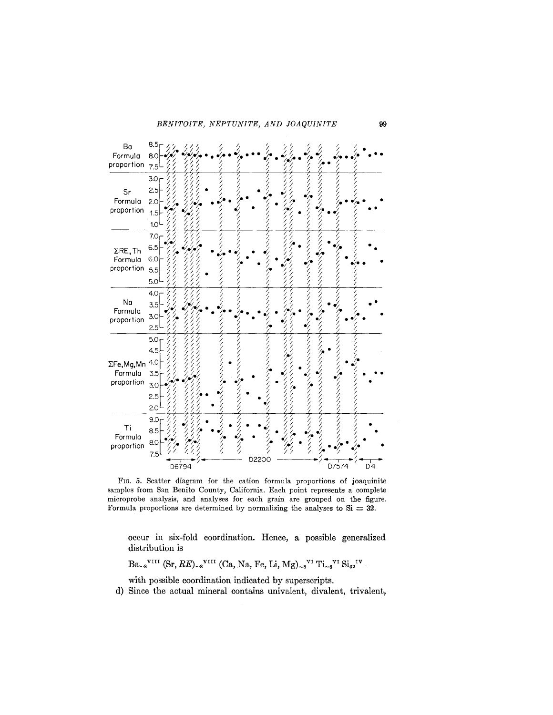

FIG. 5. Scatter diagram for the cation formula proportions of joaquinite samples from San Benito County, California. Each point represents a complete microprobe analysis, and analyses for each grain are grouped on the figure. Formula proportions are determined by normalizing the analyses to  $Si = 32$ .

occur in six-fold coordination. Hence, a possible generalized distribution is

 $Ba_{\sim 8}$ <sup>VIII</sup> (Sr,  $RE_{\sim 8}$ <sup>VIII</sup> (Ca, Na, Fe, Li, Mg)<sub> $\sim 8$ </sub><sup>VI</sup> Ti<sub> $\sim 8$ </sub><sup>VI</sup> Si<sub>32</sub><sup>IV</sup>

with possible coordination indicated by superscripts.

d) Since the actual mineral contains univalent, divalent, trivalent,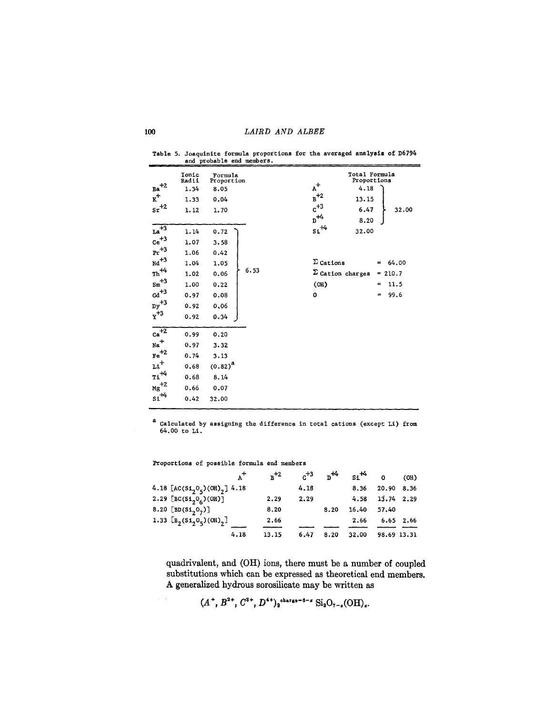Table 5. Joaquinite formula proportiona for the averaged ana1yaia of D6794 and probable end members.

| $_{Ba}^{+2}$<br>$\mathbf{K}^+$<br>$\rm{sr}^{+2}$ | Tonic<br>Radii<br>1.34<br>1.33<br>1.12 | Formula<br>Proportion<br>8.05<br>0.04<br>1.70 |      | $A^+$<br>$B^{+2}$<br>$c^{+3}$<br>$\rm p^{+4}$ | Total Formula<br>Proportions<br>4.18<br>13.15<br>6.47<br>32.00<br>8.20 |
|--------------------------------------------------|----------------------------------------|-----------------------------------------------|------|-----------------------------------------------|------------------------------------------------------------------------|
| $\overline{{\rm La}^{+3}}$                       | 1.14                                   | 0.72                                          |      | $\mathsf{si}^{+4}$                            | 32.00                                                                  |
| $\mathrm{ce}^{+3}$                               | 1.07                                   | 3.58                                          |      |                                               |                                                                        |
| $\rm{Pr}^{+3}$                                   | 1.06                                   | 0.42                                          |      |                                               |                                                                        |
| $\mathrm{Nd}^{\mathrm{+3}}$                      | 1.04                                   | 1.05                                          |      | $\Sigma$ Cations                              | 64.00<br>$=$                                                           |
| $\text{Th}^{\text{+4}}$                          | 1.02                                   | 0.06                                          | 6.53 | $\Sigma$ Cation charges                       | 210.7<br>H                                                             |
| $\rm{Sm}^{+3}$                                   | 1.00                                   | 0.22                                          |      | (OH)                                          | 11.5<br>=                                                              |
| $\mathrm{Gd}^{+3}$                               | 0.97                                   | 0.08                                          |      | $\mathbf 0$                                   | 99.6<br>$=$                                                            |
| ${\rm Dy}^{+3}$                                  | 0.92                                   | 0.06                                          |      |                                               |                                                                        |
| $\rm\thinspace Y^{+3}$                           | 0.92                                   | 0.34                                          |      |                                               |                                                                        |
| $\mathbf{ca}^{\overline{+2}}$                    | 0.99                                   | 0.20                                          |      |                                               |                                                                        |
| $_{\text{Na}}$ <sup>+</sup>                      | 0.97                                   | 3.32                                          |      |                                               |                                                                        |
| $\mathrm{Fe}^{\mathrm{+2}}$                      | 0.74                                   | 3.13                                          |      |                                               |                                                                        |
| $\mathbf{u}^+$                                   | 0.68                                   | $(0.82)^{a}$                                  |      |                                               |                                                                        |
| $\text{ri}^{\text{+4}}$                          | 0.68                                   | 8.14                                          |      |                                               |                                                                        |
| ${\rm Mg}^{+2}$                                  | 0.66                                   | 0.07                                          |      |                                               |                                                                        |
| $\mathsf{si}^{\mathcal{H}}$                      | 0.42                                   | 32.00                                         |      |                                               |                                                                        |
|                                                  |                                        |                                               |      |                                               |                                                                        |

a Calculated by assigning the difference in total cations (except Li) from 64.00 to Li.

Proportions of possible formula end members

| $A^{\dagger}$                                  | $n^{+2}$ | $^{+3}$ | $n^{14}$ | $\sin^{+4}$ 0 |              | (OH) |
|------------------------------------------------|----------|---------|----------|---------------|--------------|------|
| 4.18 $[AC(Si2O5)(OH)2]$ 4.18                   |          | 4.18    |          | 8.36          | 20.90        | 8.36 |
| 2.29 [BC(Si <sub>2</sub> O <sub>6</sub> )(OH)] | 2.29     | 2.29    |          | 4.58          | $13.74$ 2.29 |      |
| 8.20 [BD(Si <sub>2</sub> O <sub>7</sub> )]     | 8.20     |         | 8.20     | 16.40         | 57.40        |      |
| 1.33 $\left[ B_2(Si_2O_5)(OH)_2 \right]$       | 2.66     |         |          | 2.66          | $6.65$ 2.66  |      |
| 4.18                                           |          |         |          |               |              |      |
|                                                | 13.15    | 6.47    | 8.20     | 32.00         | 98.69 13.31  |      |

quadrivalent, and (OH) ions, there must be a number of coupled substitutions which can be expressed as theoretical end members. A generalized hydrous sorosilicate may be written as

 $(A^+, B^{2+}, C^{3+}, D^{4+})_2$ charge-6-z  $\text{Si}_2\text{O}_{7-z}(\text{OH})_z$ .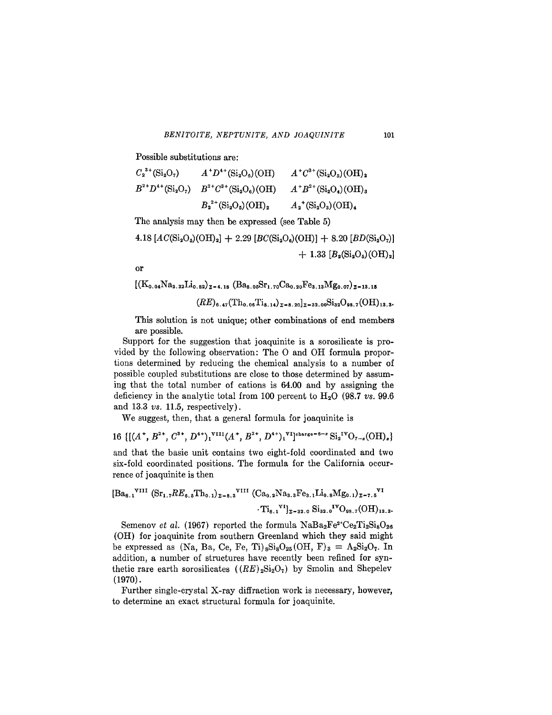Possible substitutions are:

$$
C_2^{3+}(\text{Si}_2\text{O}_7) \qquad A^+D^{4+}(\text{Si}_2\text{O}_6)(\text{OH}) \qquad A^+C^{3+}(\text{Si}_2\text{O}_5)(\text{OH})_2
$$
  
\n
$$
B^{2+}D^{4+}(\text{Si}_2\text{O}_7) \qquad B^{2+}C^{3+}(\text{Si}_2\text{O}_6)(\text{OH}) \qquad A^+B^{2+}(\text{Si}_2\text{O}_4)(\text{OH})_3
$$
  
\n
$$
B_2^{2+}(\text{Si}_2\text{O}_5)(\text{OH})_2 \qquad A_2^+(\text{Si}_2\text{O}_3)(\text{OH})_4
$$

The analysis may then be expressed (see Table 5)

 $4.18$   $[AC(Si_2O_5)(OH)_2] + 2.29$   $[BC(Si_2O_6)(OH)] + 8.20$   $[BD(Si_2O_7)]$  $+ 1.33 [B_2(Si_2O_5)(OH)_2]$ 

or

 $[(K_{0.04}Na_{3.32}Li_{0.82})_{z=4.18} (Ba_{8.05}Sr_{1.70}Ca_{0.20}Fe_{3.13}Mg_{0.07})_{z=13.15}$  $(RE)_{6.47}(\text{Th}_{0.06}\text{Ti}_{8.14})_{2=8.20}$   $_{2=32.00}\text{Si}_{32}\text{O}_{98.7}(\text{OH})_{13.39}$ 

This solution is not unique; other combinations of end members are possible.

Support for the suggestion that joaquinite is a sorosilicate is provided by the following observation: The 0 and OH formula proportions determined by reducing the chemical analysis to a number of possible coupled substitutions are close to those determined by assuming that the total number of cations is 64.00 and by assigning the deficiency in the analytic total from 100 percent to H20 (98.7 *V8. 99.6* and 13.3 *V8.* 11.5, respectively).

We suggest, then, that a general formula for joaquinite is

16<sup>{ $[(A^+, B^{2+}, C^{3+}, D^{4+})^{\text{VIII}}(A^+, B^{2+}, D^{4+})^{\text{V}}]^{\text{charge}} = 6-x \text{Si}_2^{IV}\text{O}_{7-x}(\text{OH})_x$ }</sup> and that the basic unit contains two eight-fold coordinated and two

six-fold coordinated positions. The formula for the California occurrence of joaquinite is then

$$
[\text{Ba}_{8.1}^{\text{VIII}} \text{ (Sr}_{1.7} R E_{6.5} \text{Th}_{0.1})_{z=8.3}^{\text{VIII}} \text{ (Ca}_{0.2}^{\text{Na}_{3.3} \text{Fe}_{3.1} \text{Li}_{0.8} \text{Mg}_{0.1})_{z=7.5}}^{\text{VII}} \cdot \text{T}_{8.1}^{\text{VII}}]_{z=32.0}^{\text{V}} \text{Si}_{32.0}^{\text{IV}} \text{O}_{98.7}(\text{OH})_{13.3}^{\text{VII}}.
$$

Semenov *et al.* (1967) reported the formula  $NaBa_2Fe^{2+}Ce_2Ti_2Si_8O_{26}$ (OH) for joaquinite from southern Greenland which they said might be expressed as (Na, Ba, Ce, Fe, Ti)<sub>8</sub>Si<sub>8</sub>O<sub>25</sub>(OH, F)<sub>3</sub> = A<sub>2</sub>Si<sub>2</sub>O<sub>7</sub>. In addition, a number of structures have recently been refined for synthetic rare earth sorosilicates  $((RE)_{2}Si_{2}O_{7})$  by Smolin and Shepelev (1970).

Further single-crystal X-ray diffraction work is necessary, however, to determine an exact structural formula for joaquinite.